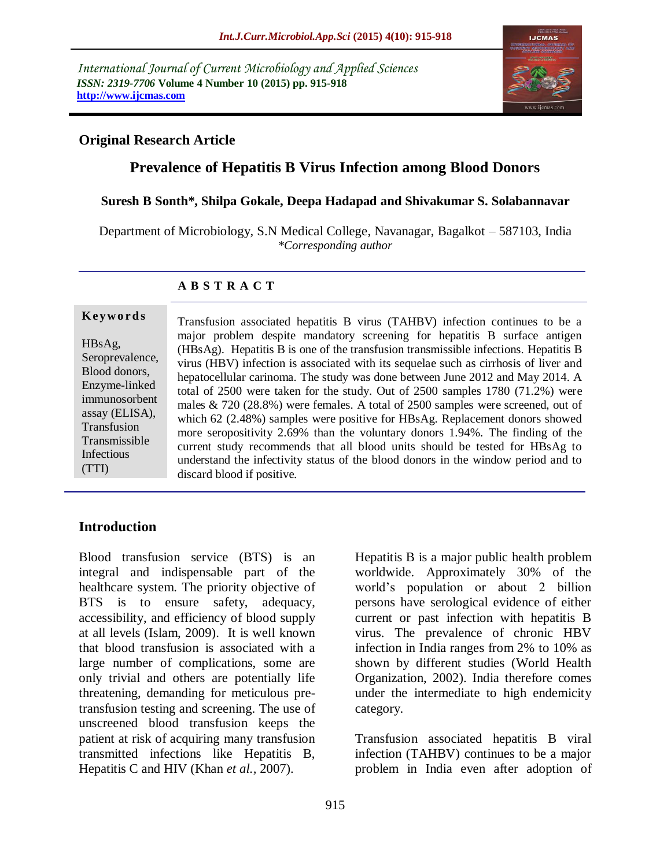*International Journal of Current Microbiology and Applied Sciences ISSN: 2319-7706* **Volume 4 Number 10 (2015) pp. 915-918 http://www.ijcmas.com** 



## **Original Research Article**

# **Prevalence of Hepatitis B Virus Infection among Blood Donors**

### **Suresh B Sonth\*, Shilpa Gokale, Deepa Hadapad and Shivakumar S. Solabannavar**

Department of Microbiology, S.N Medical College, Navanagar, Bagalkot – 587103, India *\*Corresponding author*

### **A B S T R A C T**

HBsAg, Seroprevalence, Blood donors, Enzyme-linked immunosorbent assay (ELISA), Transfusion Transmissible Infectious (TTI)

**K ey w o rd s**

Transfusion associated hepatitis B virus (TAHBV) infection continues to be a major problem despite mandatory screening for hepatitis B surface antigen (HBsAg). Hepatitis B is one of the transfusion transmissible infections. Hepatitis B virus (HBV) infection is associated with its sequelae such as cirrhosis of liver and hepatocellular carinoma. The study was done between June 2012 and May 2014. A total of 2500 were taken for the study. Out of 2500 samples 1780 (71.2%) were males & 720 (28.8%) were females. A total of 2500 samples were screened, out of which 62 (2.48%) samples were positive for HBsAg. Replacement donors showed more seropositivity 2.69% than the voluntary donors 1.94%. The finding of the current study recommends that all blood units should be tested for HBsAg to understand the infectivity status of the blood donors in the window period and to discard blood if positive.

# **Introduction**

Blood transfusion service (BTS) is an integral and indispensable part of the healthcare system. The priority objective of BTS is to ensure safety, adequacy, accessibility, and efficiency of blood supply at all levels (Islam, 2009). It is well known that blood transfusion is associated with a large number of complications, some are only trivial and others are potentially life threatening, demanding for meticulous pretransfusion testing and screening. The use of unscreened blood transfusion keeps the patient at risk of acquiring many transfusion transmitted infections like Hepatitis B, Hepatitis C and HIV (Khan *et al.,* 2007).

Hepatitis B is a major public health problem worldwide. Approximately 30% of the world's population or about 2 billion persons have serological evidence of either current or past infection with hepatitis B virus. The prevalence of chronic HBV infection in India ranges from 2% to 10% as shown by different studies (World Health Organization, 2002). India therefore comes under the intermediate to high endemicity category.

Transfusion associated hepatitis B viral infection (TAHBV) continues to be a major problem in India even after adoption of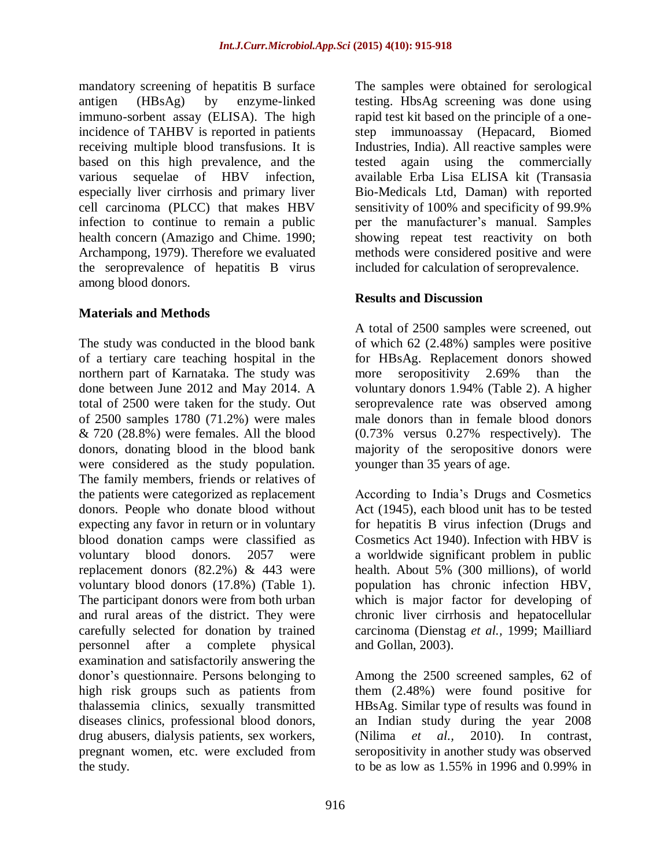mandatory screening of hepatitis B surface antigen (HBsAg) by enzyme-linked immuno-sorbent assay (ELISA). The high incidence of TAHBV is reported in patients receiving multiple blood transfusions. It is based on this high prevalence, and the various sequelae of HBV infection, especially liver cirrhosis and primary liver cell carcinoma (PLCC) that makes HBV infection to continue to remain a public health concern (Amazigo and Chime. 1990; Archampong, 1979). Therefore we evaluated the seroprevalence of hepatitis B virus among blood donors.

### **Materials and Methods**

The study was conducted in the blood bank of a tertiary care teaching hospital in the northern part of Karnataka. The study was done between June 2012 and May 2014. A total of 2500 were taken for the study. Out of 2500 samples 1780 (71.2%) were males & 720 (28.8%) were females. All the blood donors, donating blood in the blood bank were considered as the study population. The family members, friends or relatives of the patients were categorized as replacement donors. People who donate blood without expecting any favor in return or in voluntary blood donation camps were classified as voluntary blood donors. 2057 were replacement donors (82.2%) & 443 were voluntary blood donors (17.8%) (Table 1). The participant donors were from both urban and rural areas of the district. They were carefully selected for donation by trained personnel after a complete physical examination and satisfactorily answering the donor's questionnaire. Persons belonging to high risk groups such as patients from thalassemia clinics, sexually transmitted diseases clinics, professional blood donors, drug abusers, dialysis patients, sex workers, pregnant women, etc. were excluded from the study.

The samples were obtained for serological testing. HbsAg screening was done using rapid test kit based on the principle of a onestep immunoassay (Hepacard, Biomed Industries, India). All reactive samples were tested again using the commercially available Erba Lisa ELISA kit (Transasia Bio-Medicals Ltd, Daman) with reported sensitivity of 100% and specificity of 99.9% per the manufacturer's manual. Samples showing repeat test reactivity on both methods were considered positive and were included for calculation of seroprevalence.

## **Results and Discussion**

A total of 2500 samples were screened, out of which 62 (2.48%) samples were positive for HBsAg. Replacement donors showed more seropositivity 2.69% than the voluntary donors 1.94% (Table 2). A higher seroprevalence rate was observed among male donors than in female blood donors (0.73% versus 0.27% respectively). The majority of the seropositive donors were younger than 35 years of age.

According to India's Drugs and Cosmetics Act (1945), each blood unit has to be tested for hepatitis B virus infection (Drugs and Cosmetics Act 1940). Infection with HBV is a worldwide significant problem in public health. About 5% (300 millions), of world population has chronic infection HBV, which is major factor for developing of chronic liver cirrhosis and hepatocellular carcinoma (Dienstag *et al.,* 1999; Mailliard and Gollan, 2003).

Among the 2500 screened samples, 62 of them (2.48%) were found positive for HBsAg. Similar type of results was found in an Indian study during the year 2008 (Nilima *et al.,* 2010). In contrast, seropositivity in another study was observed to be as low as 1.55% in 1996 and 0.99% in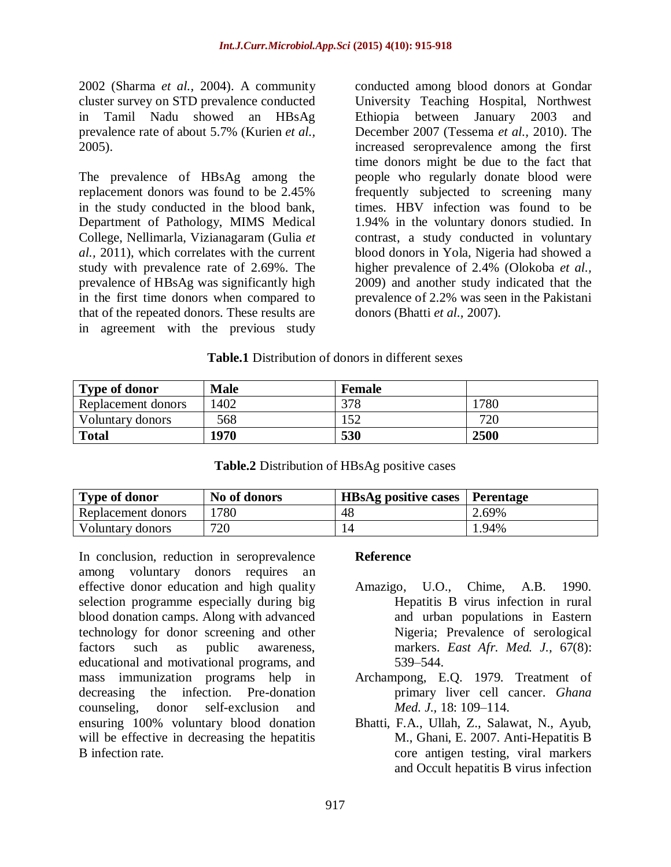2002 (Sharma *et al.,* 2004). A community cluster survey on STD prevalence conducted in Tamil Nadu showed an HBsAg prevalence rate of about 5.7% (Kurien *et al.,* 2005).

The prevalence of HBsAg among the replacement donors was found to be 2.45% in the study conducted in the blood bank, Department of Pathology, MIMS Medical College, Nellimarla, Vizianagaram (Gulia *et al.,* 2011), which correlates with the current study with prevalence rate of 2.69%. The prevalence of HBsAg was significantly high in the first time donors when compared to that of the repeated donors. These results are in agreement with the previous study

conducted among blood donors at Gondar University Teaching Hospital, Northwest Ethiopia between January 2003 and December 2007 (Tessema *et al.,* 2010). The increased seroprevalence among the first time donors might be due to the fact that people who regularly donate blood were frequently subjected to screening many times. HBV infection was found to be 1.94% in the voluntary donors studied. In contrast, a study conducted in voluntary blood donors in Yola, Nigeria had showed a higher prevalence of 2.4% (Olokoba *et al.,* 2009) and another study indicated that the prevalence of 2.2% was seen in the Pakistani donors (Bhatti *et al.,* 2007).

### **Table.1** Distribution of donors in different sexes

| <b>Type of donor</b> | <b>Male</b> | <b>Female</b> |      |
|----------------------|-------------|---------------|------|
| Replacement donors   | 402         | 378           | 1780 |
| Voluntary donors     | 568         | .52           | 720  |
| <b>Total</b>         | 1970        | 530           | 2500 |

### **Table.2** Distribution of HBsAg positive cases

| <b>Type of donor</b> | No of donors | <b>HBsAg positive cases   Perentage</b> |       |
|----------------------|--------------|-----------------------------------------|-------|
| Replacement donors   | 1780         | 48                                      | 2.69% |
| Voluntary donors     | 720          |                                         | 1.94% |

In conclusion, reduction in seroprevalence among voluntary donors requires an effective donor education and high quality selection programme especially during big blood donation camps. Along with advanced technology for donor screening and other factors such as public awareness, educational and motivational programs, and mass immunization programs help in decreasing the infection. Pre-donation counseling, donor self-exclusion and ensuring 100% voluntary blood donation will be effective in decreasing the hepatitis B infection rate.

### **Reference**

- Amazigo, U.O., Chime, A.B. 1990. Hepatitis B virus infection in rural and urban populations in Eastern Nigeria; Prevalence of serological markers. *East Afr. Med. J.,* 67(8): 539–544.
- Archampong, E.Q. 1979. Treatment of primary liver cell cancer. *Ghana Med. J.,* 18: 109–114.
- Bhatti, F.A., Ullah, Z., Salawat, N., Ayub, M., Ghani, E. 2007. Anti-Hepatitis B core antigen testing, viral markers and Occult hepatitis B virus infection